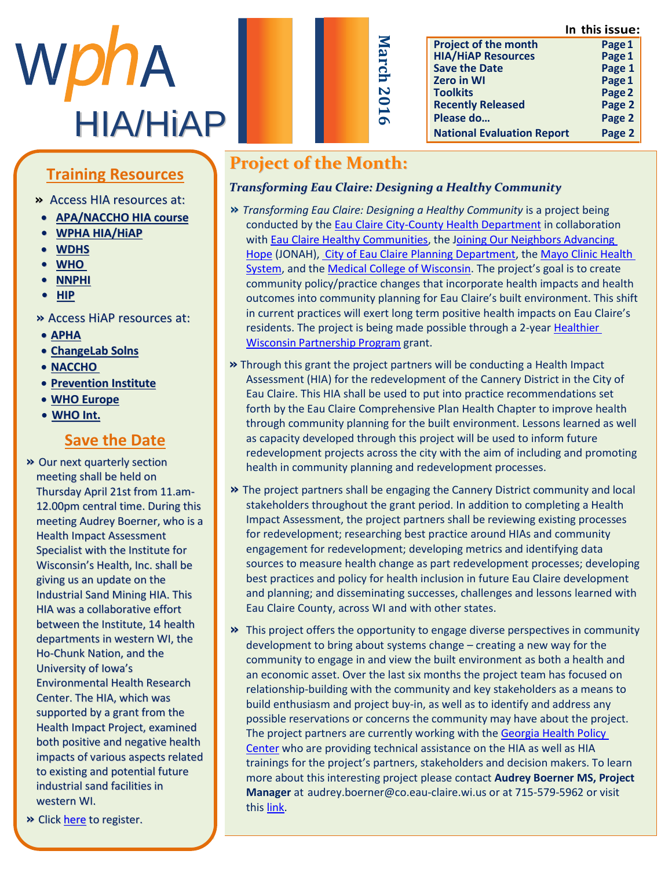**In this issue:**



| s                     |
|-----------------------|
|                       |
| ≌<br>٦                |
|                       |
| <u>G</u>              |
|                       |
| N                     |
| $\bullet$             |
| $\blacktriangleright$ |
| Ó                     |
|                       |
|                       |

|                                   | ,סשכפו כוווו |
|-----------------------------------|--------------|
| <b>Project of the month</b>       | Page 1       |
| <b>HIA/HIAP Resources</b>         | Page 1       |
| <b>Save the Date</b>              | Page 1       |
| <b>Zero in WI</b>                 | Page 1       |
| <b>Toolkits</b>                   | Page 2       |
| <b>Recently Released</b>          | Page 2       |
| Please do                         | Page 2       |
| <b>National Evaluation Report</b> | Page 2       |

#### Training Posqureos <u>This nesoure</u> **Training Resources**

Abby Jackson **»** Access HIA resources at:

- **[APA/NACCHO](http://advance.captus.com/planning/hia2/home.aspx) HIA course**
- » M [s A b b y J a c k s o](http://www.wpha.org/?page=hia_library) n h a s **• WPHA HIA/HiAP**
	- **b** e  $\overline{\text{WDRS}}$
	- m [e m b e r](http://www.who.int/hia/tools/en/) o f t h e W P H A **• WHO**
	- H I [A s e c t](https://nnphi.org/relatedarticle/nnphis-member-institutes-as-national-health-impact-assessment-hia-training-and-capacity-building-centers/) i o n l e a d e r s h i p **• NNPHI**
	- **• HIP • HIP**

#### c o m m u n i c a t i o n s o f i c e r **»** Access HiAP resources at:

- **APHA**
- ChangeLab Solns
- **NACCHO**
- **•** Prevention Institute
- **WHO Europe**  $\frac{1}{\sqrt{100 \ln t}}$
- **•** <u>WHO Int.</u>

#### **Save the Date** <u>t h e U S t h r o u g</u>

**»** Our next quarterly section meeting shall be held on Thursday April 21st from 11.am-12.00pm central time. During this meeting Audrey Boerner, who is a Health Impact Assessment Specialist with the Institute for Wisconsin's Health, Inc. shall be giving us an update on the Industrial Sand Mining HIA. This HIA was a collaborative effort between the Institute, 14 health departments in western WI, the Ho-Chunk Nation, and the University of Iowa's Environmental Health Research Center. The HIA, which was supported by a grant from the Health Impact Project, examined both positive and negative health impacts of various aspects related to existing and potential future industrial sand facilities in l u c k i n g r a d s c h o l s c h o o l s c h o l s c h o l s c h o l s c h o l s c h o o l s c h o l s c h

**»** Click **[here](http://www.wpha.org/events/EventDetails.aspx?id=767722&group=)** to register.

# **Project of the Month:**

### *Transforming Eau Claire: Designing a Healthy Community*

- **»** *Transforming Eau Claire: Designing a Healthy Community* is a project being conducted by the [Eau Claire City-County Health Department](http://www.ci.eau-claire.wi.us/departments/health-department) in collaboration with [Eau Claire Healthy Communities,](http://eauclaire.wi.networkofcare.org/ph/) the [Joining Our Neighbors Advancing](http://www.jonahjustice.org/)  [Hope](http://www.jonahjustice.org/) (JONAH)[, City of Eau Claire Planning Department,](http://www.ci.eau-claire.wi.us/departments/community-development/planning) th[e Mayo Clinic Health](http://mayoclinichealthsystem.org/locations/eau-claire)  [System,](http://mayoclinichealthsystem.org/locations/eau-claire) and th[e Medical College of Wisconsin](http://www.mcw.edu/MCW). The project's goal is to create community policy/practice changes that incorporate health impacts and health outcomes into community planning for Eau Claire's built environment. This shift in current practices will exert long term positive health impacts on Eau Claire's residents. The project is being made possible through a 2-yea[r Healthier](http://www.mcw.edu/Advancing-Healthier-WI-Endowment/Apply-for-Funding/HWPP.htm)  [Wisconsin Partnership Program](http://www.mcw.edu/Advancing-Healthier-WI-Endowment/Apply-for-Funding/HWPP.htm) grant.
- **»** Through this grant the project partners will be conducting a Health Impact Assessment (HIA) for the redevelopment of the Cannery District in the City of Eau Claire. This HIA shall be used to put into practice recommendations set forth by the Eau Claire Comprehensive Plan Health Chapter to improve health through community planning for the built environment. Lessons learned as well as capacity developed through this project will be used to inform future redevelopment projects across the city with the aim of including and promoting health in community planning and redevelopment processes.
- **»** The project partners shall be engaging the Cannery District community and local stakeholders throughout the grant period. In addition to completing a Health Impact Assessment, the project partners shall be reviewing existing processes for redevelopment; researching best practice around HIAs and community engagement for redevelopment; developing metrics and identifying data sources to measure health change as part redevelopment processes; developing best practices and policy for health inclusion in future Eau Claire development and planning; and disseminating successes, challenges and lessons learned with Eau Claire County, across WI and with other states.
- **»** This project offers the opportunity to engage diverse perspectives in community development to bring about systems change – creating a new way for the community to engage in and view the built environment as both a health and an economic asset. Over the last six months the project team has focused on relationship-building with the community and key stakeholders as a means to build enthusiasm and project buy-in, as well as to identify and address any possible reservations or concerns the community may have about the project. The project partners are currently working with the Georgia Health Policy [Center](http://ghpc.gsu.edu/) who are providing technical assistance on the HIA as well as HIA trainings for the project's partners, stakeholders and decision makers. To learn more about this interesting project please contact **Audrey Boerner MS, Project Manager** at audrey.boerner@co.eau-claire.wi.us or at 715-579-5962 or visit this [link.](http://www.mcw.edu/Advancing-Healthier-WI-Endowment/HWPP-Funded-Awards/2015/Transforming-Eau-Claire.htm)